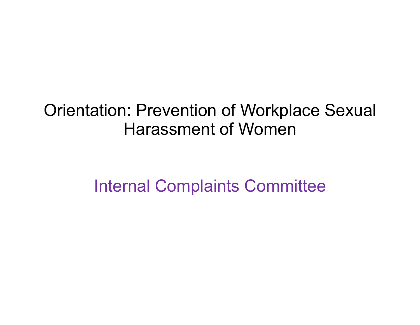#### Orientation: Prevention of Workplace Sexual Harassment of Women

Internal Complaints Committee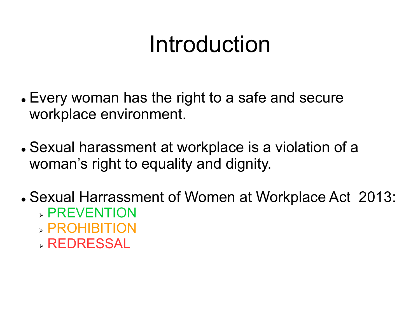#### Introduction

- Every woman has the right to a safe and secure workplace environment.
- Sexual harassment at workplace is a violation of a woman's right to equality and dignity.
- Sexual Harrassment of Women at Workplace Act 2013:
	- **> PREVENTION**
	- PROHIBITION
	- REDRESSAL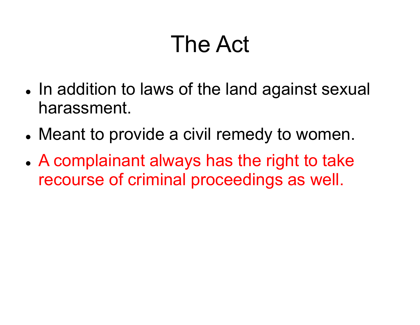#### The Act

- In addition to laws of the land against sexual harassment.
- Meant to provide a civil remedy to women.
- A complainant always has the right to take recourse of criminal proceedings as well.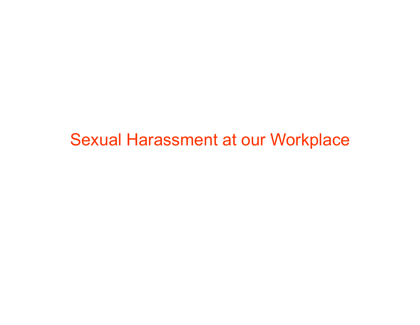Sexual Harassment at our Workplace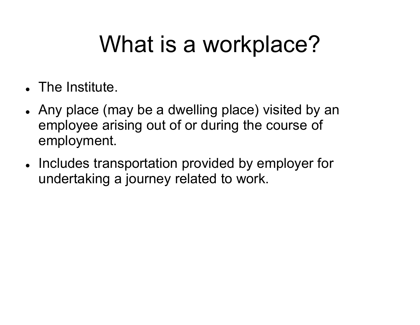## What is a workplace?

- . The Institute.
- Any place (may be a dwelling place) visited by an employee arising out of or during the course of employment.
- Includes transportation provided by employer for undertaking a journey related to work.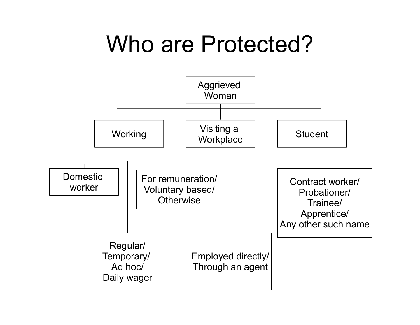#### Who are Protected?

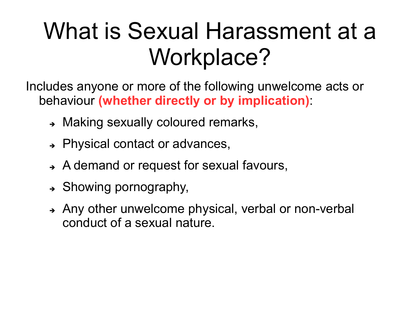#### What is Sexual Harassment at a Workplace?

Includes anyone or more of the following unwelcome acts or behaviour (whether directly or by implication):

- → Making sexually coloured remarks,
- → Physical contact or advances,
- A demand or request for sexual favours,
- $\rightarrow$  Showing pornography,
- → Any other unwelcome physical, verbal or non-verbal conduct of a sexual nature.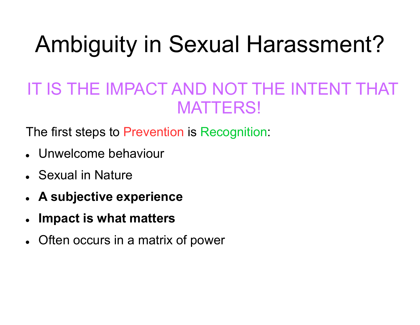# Ambiguity in Sexual Harassment?

#### IT IS THE IMPACT AND NOT THE INTENT THAT MATTERS!

The first steps to Prevention is Recognition:

- Unwelcome behaviour
- Sexual in Nature
- A subjective experience
- Impact is what matters
- Often occurs in a matrix of power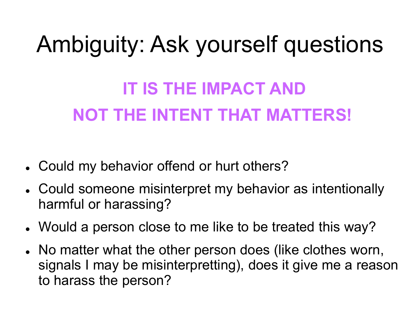# Ambiguity: Ask yourself questions

#### IT IS THE IMPACT AND NOT THE INTENT THAT MATTERS!

- Could my behavior offend or hurt others?
- Could someone misinterpret my behavior as intentionally harmful or harassing?
- Would a person close to me like to be treated this way?
- No matter what the other person does (like clothes worn, signals I may be misinterpretting), does it give me a reason to harass the person?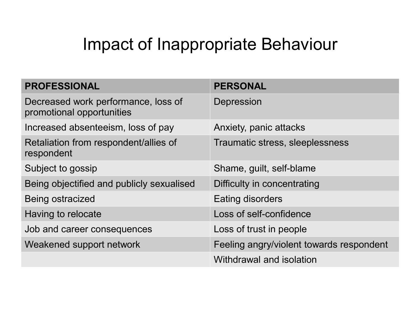#### Impact of Inappropriate Behaviour

| <b>Impact of Inappropriate Behaviour</b>                         |                                          |  |  |
|------------------------------------------------------------------|------------------------------------------|--|--|
| <b>PROFESSIONAL</b>                                              | <b>PERSONAL</b>                          |  |  |
| Decreased work performance, loss of<br>promotional opportunities | Depression                               |  |  |
| Increased absenteeism, loss of pay                               | Anxiety, panic attacks                   |  |  |
| Retaliation from respondent/allies of<br>respondent              | Traumatic stress, sleeplessness          |  |  |
| Subject to gossip                                                | Shame, guilt, self-blame                 |  |  |
| Being objectified and publicly sexualised                        | Difficulty in concentrating              |  |  |
| <b>Being ostracized</b>                                          | <b>Eating disorders</b>                  |  |  |
| Having to relocate                                               | Loss of self-confidence                  |  |  |
| Job and career consequences                                      | Loss of trust in people                  |  |  |
| Weakened support network                                         | Feeling angry/violent towards respondent |  |  |
|                                                                  | Withdrawal and isolation                 |  |  |
|                                                                  |                                          |  |  |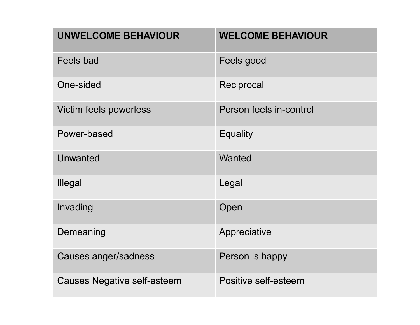| <b>UNWELCOME BEHAVIOUR</b>         | <b>WELCOME BEHAVIOUR</b> |
|------------------------------------|--------------------------|
| <b>Feels bad</b>                   | Feels good               |
| One-sided                          | Reciprocal               |
| Victim feels powerless             | Person feels in-control  |
| Power-based                        | <b>Equality</b>          |
| <b>Unwanted</b>                    | Wanted                   |
| Illegal                            | Legal                    |
| Invading                           | Open                     |
| Demeaning                          | Appreciative             |
| Causes anger/sadness               | Person is happy          |
| <b>Causes Negative self-esteem</b> | Positive self-esteem     |
|                                    |                          |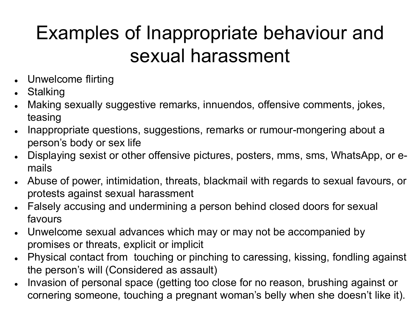#### Examples of Inappropriate behaviour and sexual harassment

- Unwelcome flirting
- **Stalking**
- Making sexually suggestive remarks, innuendos, offensive comments, jokes, teasing
- Inappropriate questions, suggestions, remarks or rumour-mongering about a person's body or sex life
- Displaying sexist or other offensive pictures, posters, mms, sms, WhatsApp, or emails
- Abuse of power, intimidation, threats, blackmail with regards to sexual favours, or protests against sexual harassment
- Falsely accusing and undermining a person behind closed doors for sexual favours
- Unwelcome sexual advances which may or may not be accompanied by promises or threats, explicit or implicit
- Physical contact from touching or pinching to caressing, kissing, fondling against the person's will (Considered as assault)
- Invasion of personal space (getting too close for no reason, brushing against or cornering someone, touching a pregnant woman's belly when she doesn't like it).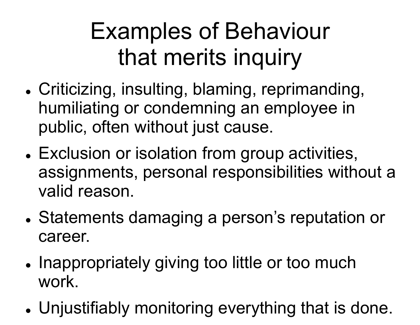## Examples of Behaviour that merits inquiry

- Criticizing, insulting, blaming, reprimanding, humiliating or condemning an employee in public, often without just cause.
- Exclusion or isolation from group activities, assignments, personal responsibilities without a valid reason.
- Statements damaging a person's reputation or career.
- Inappropriately giving too little or too much work.
- Unjustifiably monitoring everything that is done.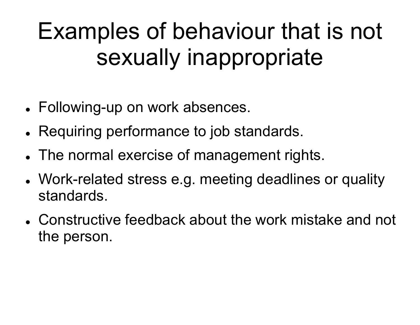#### Examples of behaviour that is not sexually inappropriate

- Following-up on work absences.
- Requiring performance to job standards.
- The normal exercise of management rights.
- Work-related stress e.g. meeting deadlines or quality standards.
- Constructive feedback about the work mistake and not the person.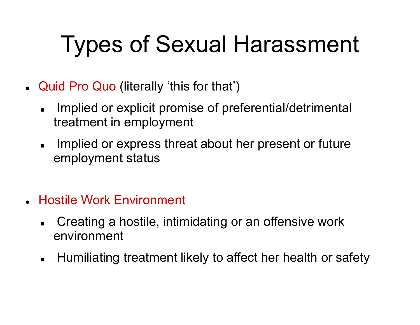# Types of Sexual Harassment

- Quid Pro Quo (literally 'this for that')
	- Implied or explicit promise of preferential/detrimental treatment in employment
	- Implied or express threat about her present or future employment status
- Hostile Work Environment
	- Creating a hostile, intimidating or an offensive work environment
	- **EXT** Humiliating treatment likely to affect her health or safety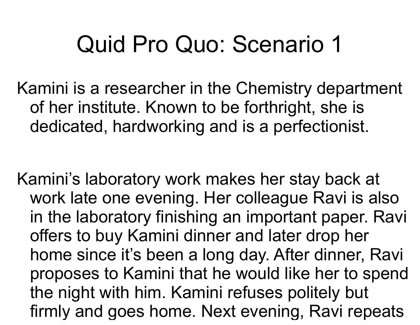#### Quid Pro Quo: Scenario 1

Kamini is a researcher in the Chemistry department of her institute. Known to be forthright, she is dedicated, hardworking and is a perfectionist.

Kamini's laboratory work makes her stay back at work late one evening. Her colleague Ravi is also in the laboratory finishing an important paper. Ravi offers to buy Kamini dinner and later drop her home since it's been a long day. After dinner, Ravi proposes to Kamini that he would like her to spend the night with him. Kamini refuses politely but firmly and goes home. Next evening, Ravi repeats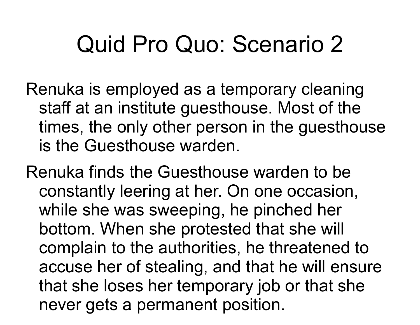#### Quid Pro Quo: Scenario 2

Renuka is employed as a temporary cleaning staff at an institute guesthouse. Most of the times, the only other person in the guesthouse is the Guesthouse warden.

Renuka finds the Guesthouse warden to be constantly leering at her. On one occasion, while she was sweeping, he pinched her bottom. When she protested that she will complain to the authorities, he threatened to accuse her of stealing, and that he will ensure that she loses her temporary job or that she never gets a permanent position.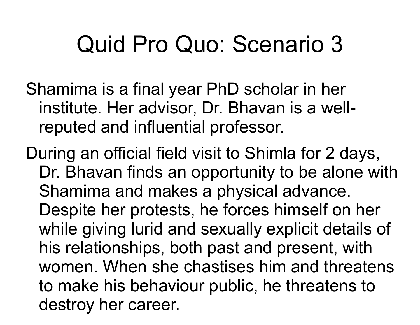#### Quid Pro Quo: Scenario 3

Shamima is a final year PhD scholar in her institute. Her advisor, Dr. Bhavan is a wellreputed and influential professor.

During an official field visit to Shimla for 2 days, Dr. Bhavan finds an opportunity to be alone with Shamima and makes a physical advance. Despite her protests, he forces himself on her while giving lurid and sexually explicit details of his relationships, both past and present, with women. When she chastises him and threatens to make his behaviour public, he threatens to destroy her career.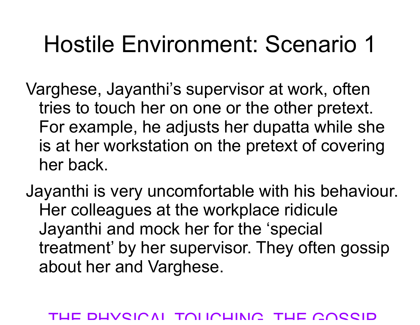Varghese, Jayanthi's supervisor at work, often tries to touch her on one or the other pretext. For example, he adjusts her dupatta while she is at her workstation on the pretext of covering her back.

Jayanthi is very uncomfortable with his behaviour. Her colleagues at the workplace ridicule Jayanthi and mock her for the 'special treatment' by her supervisor. They often gossip about her and Varghese.

#### DUVSICAL TOLICUING, THE GOSSID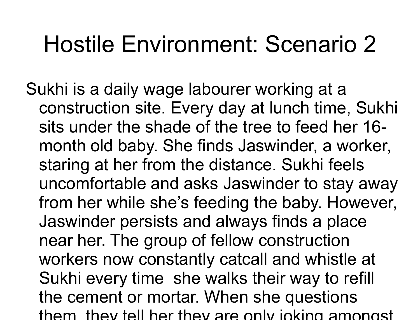Sukhi is a daily wage labourer working at a construction site. Every day at lunch time, Sukhi sits under the shade of the tree to feed her 16 month old baby. She finds Jaswinder, a worker, staring at her from the distance. Sukhi feels uncomfortable and asks Jaswinder to stay away from her while she's feeding the baby. However, Jaswinder persists and always finds a place near her. The group of fellow construction workers now constantly catcall and whistle at Sukhi every time she walks their way to refill the cement or mortar. When she questions them, they tell her they are only joking amongst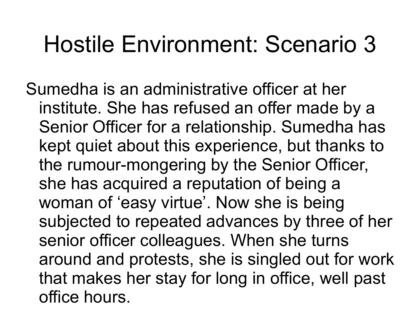Sumedha is an administrative officer at her institute. She has refused an offer made by a Senior Officer for a relationship. Sumedha has kept quiet about this experience, but thanks to the rumour-mongering by the Senior Officer, she has acquired a reputation of being a woman of 'easy virtue'. Now she is being subjected to repeated advances by three of her senior officer colleagues. When she turns around and protests, she is singled out for work that makes her stay for long in office, well past office hours.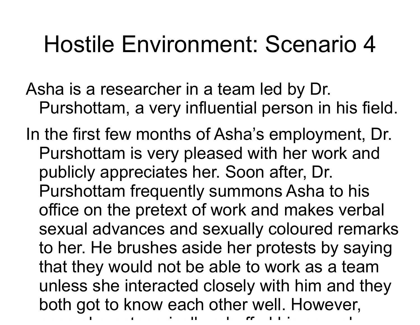- Asha is a researcher in a team led by Dr. Purshottam, a very influential person in his field.
- In the first few months of Asha's employment, Dr. Purshottam is very pleased with her work and publicly appreciates her. Soon after, Dr. Purshottam frequently summons Asha to his office on the pretext of work and makes verbal sexual advances and sexually coloured remarks to her. He brushes aside her protests by saying that they would not be able to work as a team unless she interacted closely with him and they both got to know each other well. However, once she categories in the categories in the categories  $\mathbf{r}_i$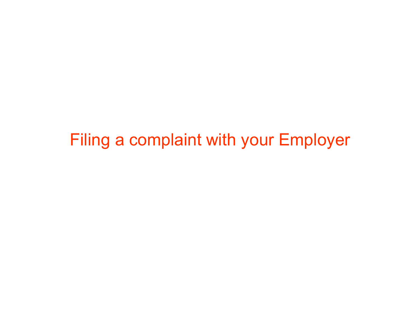Filing a complaint with your Employer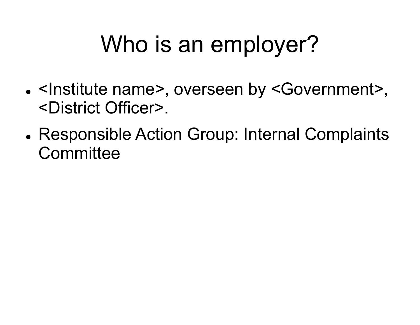## Who is an employer?

- <Institute name>, overseen by <Government>, <District Officer>.
- Responsible Action Group: Internal Complaints **Committee**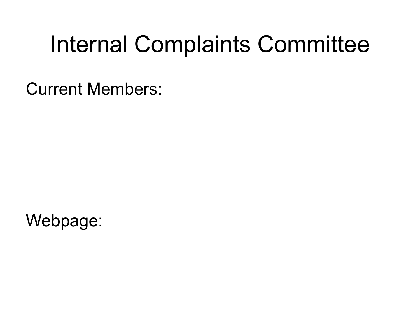#### Internal Complaints Committee

Current Members:

Webpage: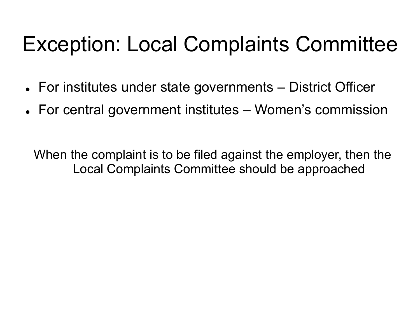# Exception: Local Complaints Committee Exception: Local Complaints Committee<br>For institutes under state governments – District Officer<br>For central government institutes – Women's commission<br>For central government institutes – Women's commission Exception: Local Complaints Committee<br>For institutes under state governments – District Officer<br>For central government institutes – Women's commission<br>For central government institutes – Women's commission

- 
- 

When the complaint is to be filed against the employer, then the Local Complaints Committee should be approached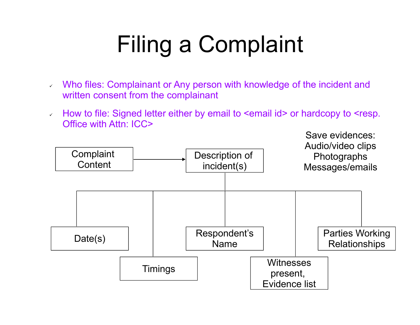# Filing a Complaint

- Who files: Complainant or Any person with knowledge of the incident and written consent from the complainant
- How to file: Signed letter either by email to <email id> or hardcopy to <resp. Office with Attn: ICC>

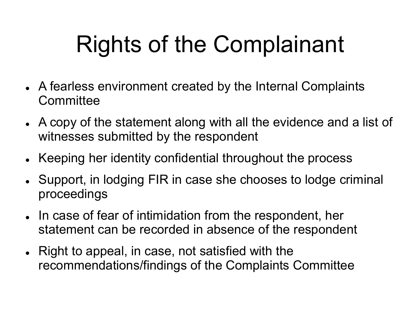# Rights of the Complainant

- A fearless environment created by the Internal Complaints **Committee**
- A copy of the statement along with all the evidence and a list of witnesses submitted by the respondent
- Keeping her identity confidential throughout the process
- Support, in lodging FIR in case she chooses to lodge criminal proceedings
- In case of fear of intimidation from the respondent, her statement can be recorded in absence of the respondent
- Right to appeal, in case, not satisfied with the recommendations/findings of the Complaints Committee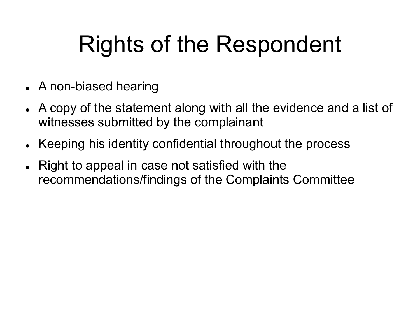## Rights of the Respondent

- A non-biased hearing
- A copy of the statement along with all the evidence and a list of witnesses submitted by the complainant
- Keeping his identity confidential throughout the process
- Right to appeal in case not satisfied with the recommendations/findings of the Complaints Committee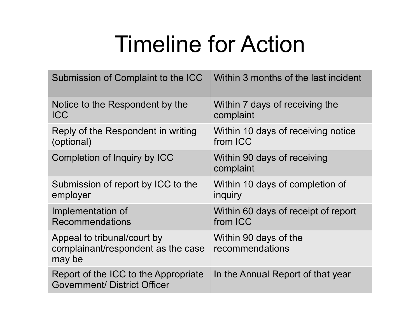#### Timeline for Action

| <b>Timeline for Action</b>                                                  |                                                 |  |  |
|-----------------------------------------------------------------------------|-------------------------------------------------|--|--|
| Submission of Complaint to the ICC                                          | Within 3 months of the last incident            |  |  |
| Notice to the Respondent by the<br><b>ICC</b>                               | Within 7 days of receiving the<br>complaint     |  |  |
| Reply of the Respondent in writing<br>(optional)                            | Within 10 days of receiving notice<br>from ICC  |  |  |
| Completion of Inquiry by ICC                                                | Within 90 days of receiving<br>complaint        |  |  |
| Submission of report by ICC to the<br>employer                              | Within 10 days of completion of<br>inquiry      |  |  |
| Implementation of<br><b>Recommendations</b>                                 | Within 60 days of receipt of report<br>from ICC |  |  |
| Appeal to tribunal/court by<br>complainant/respondent as the case<br>may be | Within 90 days of the<br>recommendations        |  |  |
| Report of the ICC to the Appropriate<br><b>Government/ District Officer</b> | In the Annual Report of that year               |  |  |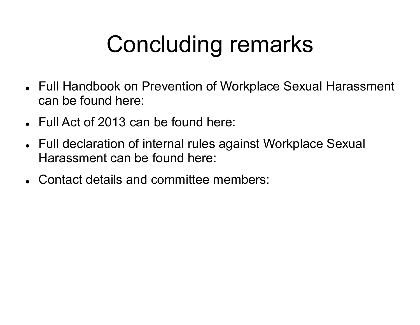# Concluding remarks

- Full Handbook on Prevention of Workplace Sexual Harassment can be found here:
- Full Act of 2013 can be found here:
- Full declaration of internal rules against Workplace Sexual Harassment can be found here:
- Contact details and committee members: